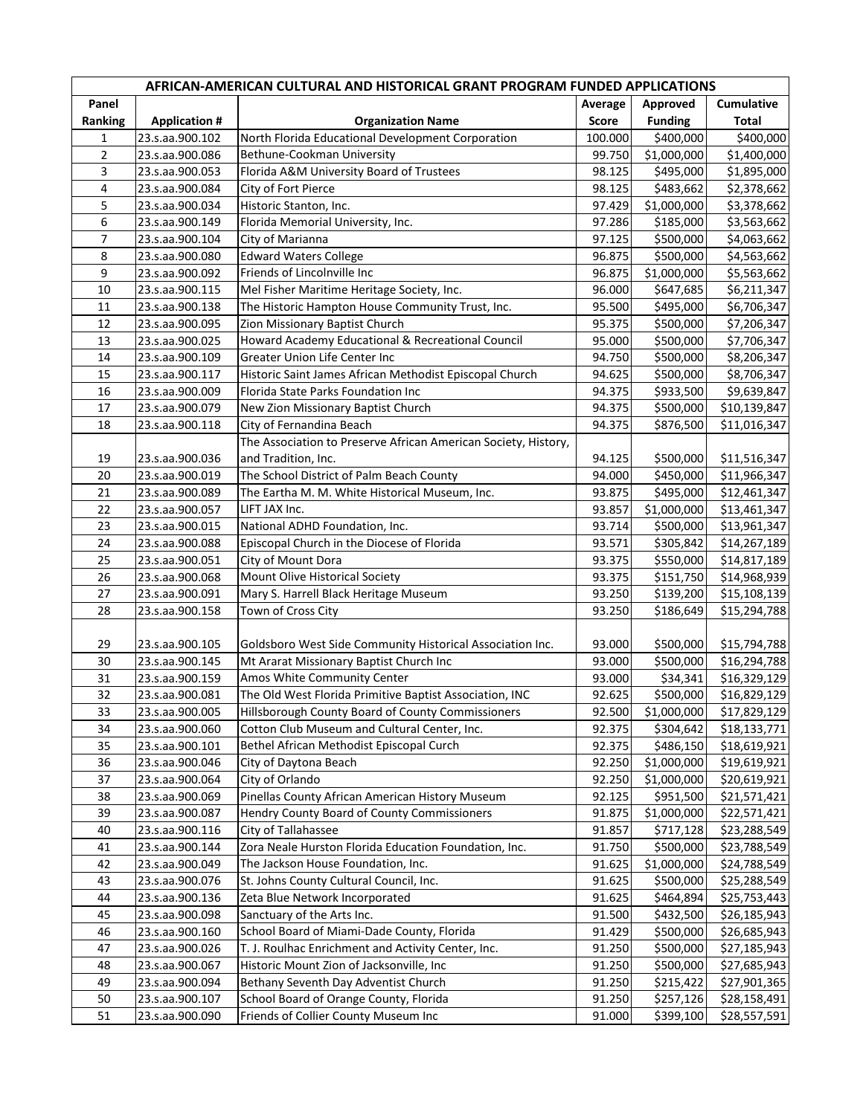| AFRICAN-AMERICAN CULTURAL AND HISTORICAL GRANT PROGRAM FUNDED APPLICATIONS |                      |                                                                |                  |                            |                            |  |  |  |
|----------------------------------------------------------------------------|----------------------|----------------------------------------------------------------|------------------|----------------------------|----------------------------|--|--|--|
| Panel<br>Ranking                                                           | <b>Application #</b> | <b>Organization Name</b>                                       | Average<br>Score | Approved<br><b>Funding</b> | Cumulative<br><b>Total</b> |  |  |  |
| 1                                                                          |                      | North Florida Educational Development Corporation              |                  |                            |                            |  |  |  |
| $\overline{2}$                                                             | 23.s.aa.900.102      | Bethune-Cookman University                                     | 100.000          | \$400,000<br>\$1,000,000   | \$400,000                  |  |  |  |
| 3                                                                          | 23.s.aa.900.086      | Florida A&M University Board of Trustees                       | 99.750           |                            | \$1,400,000                |  |  |  |
| 4                                                                          | 23.s.aa.900.053      | City of Fort Pierce                                            | 98.125           | \$495,000                  | \$1,895,000                |  |  |  |
| 5                                                                          | 23.s.aa.900.084      | Historic Stanton, Inc.                                         | 98.125           | \$483,662                  | \$2,378,662                |  |  |  |
| 6                                                                          | 23.s.aa.900.034      |                                                                | 97.429           | \$1,000,000                | \$3,378,662                |  |  |  |
| $\overline{7}$                                                             | 23.s.aa.900.149      | Florida Memorial University, Inc.                              | 97.286           | \$185,000                  | \$3,563,662                |  |  |  |
| 8                                                                          | 23.s.aa.900.104      | City of Marianna<br><b>Edward Waters College</b>               | 97.125           | \$500,000                  | \$4,063,662                |  |  |  |
| 9                                                                          | 23.s.aa.900.080      | Friends of Lincolnville Inc                                    | 96.875           | \$500,000                  | \$4,563,662                |  |  |  |
| 10                                                                         | 23.s.aa.900.092      |                                                                | 96.875           | \$1,000,000                | \$5,563,662                |  |  |  |
|                                                                            | 23.s.aa.900.115      | Mel Fisher Maritime Heritage Society, Inc.                     | 96.000           | \$647,685                  | \$6,211,347                |  |  |  |
| 11                                                                         | 23.s.aa.900.138      | The Historic Hampton House Community Trust, Inc.               | 95.500           | \$495,000                  | \$6,706,347                |  |  |  |
| 12                                                                         | 23.s.aa.900.095      | Zion Missionary Baptist Church                                 | 95.375           | \$500,000                  | \$7,206,347                |  |  |  |
| 13                                                                         | 23.s.aa.900.025      | Howard Academy Educational & Recreational Council              | 95.000           | \$500,000                  | \$7,706,347                |  |  |  |
| 14                                                                         | 23.s.aa.900.109      | Greater Union Life Center Inc                                  | 94.750           | \$500,000                  | \$8,206,347                |  |  |  |
| 15                                                                         | 23.s.aa.900.117      | Historic Saint James African Methodist Episcopal Church        | 94.625           | \$500,000                  | \$8,706,347                |  |  |  |
| 16                                                                         | 23.s.aa.900.009      | Florida State Parks Foundation Inc                             | 94.375           | \$933,500                  | \$9,639,847                |  |  |  |
| 17                                                                         | 23.s.aa.900.079      | New Zion Missionary Baptist Church                             | 94.375           | \$500,000                  | \$10,139,847               |  |  |  |
| 18                                                                         | 23.s.aa.900.118      | City of Fernandina Beach                                       | 94.375           | \$876,500                  | \$11,016,347               |  |  |  |
|                                                                            |                      | The Association to Preserve African American Society, History, |                  |                            |                            |  |  |  |
| 19                                                                         | 23.s.aa.900.036      | and Tradition, Inc.                                            | 94.125           | \$500,000                  | \$11,516,347               |  |  |  |
| 20                                                                         | 23.s.aa.900.019      | The School District of Palm Beach County                       | 94.000           | \$450,000                  | \$11,966,347               |  |  |  |
| 21                                                                         | 23.s.aa.900.089      | The Eartha M. M. White Historical Museum, Inc.                 | 93.875           | \$495,000                  | \$12,461,347               |  |  |  |
| 22                                                                         | 23.s.aa.900.057      | LIFT JAX Inc.                                                  | 93.857           | \$1,000,000                | \$13,461,347               |  |  |  |
| 23                                                                         | 23.s.aa.900.015      | National ADHD Foundation, Inc.                                 | 93.714           | \$500,000                  | \$13,961,347               |  |  |  |
| 24                                                                         | 23.s.aa.900.088      | Episcopal Church in the Diocese of Florida                     | 93.571           | \$305,842                  | \$14,267,189               |  |  |  |
| 25                                                                         | 23.s.aa.900.051      | City of Mount Dora                                             | 93.375           | \$550,000                  | \$14,817,189               |  |  |  |
| 26                                                                         | 23.s.aa.900.068      | Mount Olive Historical Society                                 | 93.375           | \$151,750                  | \$14,968,939               |  |  |  |
| 27                                                                         | 23.s.aa.900.091      | Mary S. Harrell Black Heritage Museum                          | 93.250           | \$139,200                  | \$15,108,139               |  |  |  |
| 28                                                                         | 23.s.aa.900.158      | Town of Cross City                                             | 93.250           | \$186,649                  | \$15,294,788               |  |  |  |
| 29                                                                         | 23.s.aa.900.105      | Goldsboro West Side Community Historical Association Inc.      | 93.000           | \$500,000                  | \$15,794,788               |  |  |  |
| 30                                                                         | 23.s.aa.900.145      | Mt Ararat Missionary Baptist Church Inc                        | 93.000           | \$500,000                  | \$16,294,788               |  |  |  |
| 31                                                                         | 23.s.aa.900.159      | Amos White Community Center                                    | 93.000           | \$34,341                   | \$16,329,129               |  |  |  |
| 32                                                                         | 23.s.aa.900.081      | The Old West Florida Primitive Baptist Association, INC        | 92.625           | \$500,000                  | \$16,829,129               |  |  |  |
| 33                                                                         | 23.s.aa.900.005      | Hillsborough County Board of County Commissioners              |                  | 92.500 \$1,000,000         | \$17,829,129               |  |  |  |
| 34                                                                         | 23.s.aa.900.060      | Cotton Club Museum and Cultural Center, Inc.                   | 92.375           | \$304,642                  | \$18,133,771               |  |  |  |
| 35                                                                         | 23.s.aa.900.101      | Bethel African Methodist Episcopal Curch                       | 92.375           | \$486,150                  | \$18,619,921               |  |  |  |
| 36                                                                         | 23.s.aa.900.046      | City of Daytona Beach                                          | 92.250           | \$1,000,000                | \$19,619,921               |  |  |  |
| 37                                                                         | 23.s.aa.900.064      | City of Orlando                                                | 92.250           | \$1,000,000                | \$20,619,921               |  |  |  |
| 38                                                                         | 23.s.aa.900.069      | Pinellas County African American History Museum                | 92.125           | \$951,500                  | \$21,571,421               |  |  |  |
| 39                                                                         | 23.s.aa.900.087      | Hendry County Board of County Commissioners                    | 91.875           | \$1,000,000                | \$22,571,421               |  |  |  |
| 40                                                                         | 23.s.aa.900.116      | City of Tallahassee                                            | 91.857           | \$717,128                  | \$23,288,549               |  |  |  |
| 41                                                                         | 23.s.aa.900.144      | Zora Neale Hurston Florida Education Foundation, Inc.          | 91.750           | \$500,000                  | \$23,788,549               |  |  |  |
| 42                                                                         | 23.s.aa.900.049      | The Jackson House Foundation, Inc.                             | 91.625           | \$1,000,000                | \$24,788,549               |  |  |  |
| 43                                                                         | 23.s.aa.900.076      | St. Johns County Cultural Council, Inc.                        | 91.625           | \$500,000                  | \$25,288,549               |  |  |  |
| 44                                                                         | 23.s.aa.900.136      | Zeta Blue Network Incorporated                                 | 91.625           | \$464,894                  | \$25,753,443               |  |  |  |
| 45                                                                         | 23.s.aa.900.098      | Sanctuary of the Arts Inc.                                     | 91.500           | \$432,500                  | \$26,185,943               |  |  |  |
| 46                                                                         | 23.s.aa.900.160      | School Board of Miami-Dade County, Florida                     | 91.429           | \$500,000                  | \$26,685,943               |  |  |  |
| 47                                                                         | 23.s.aa.900.026      | T. J. Roulhac Enrichment and Activity Center, Inc.             | 91.250           | \$500,000                  | \$27,185,943               |  |  |  |
| 48                                                                         | 23.s.aa.900.067      | Historic Mount Zion of Jacksonville, Inc                       | 91.250           | \$500,000                  | \$27,685,943               |  |  |  |
| 49                                                                         | 23.s.aa.900.094      | Bethany Seventh Day Adventist Church                           | 91.250           | \$215,422                  | \$27,901,365               |  |  |  |
| 50                                                                         | 23.s.aa.900.107      | School Board of Orange County, Florida                         | 91.250           | \$257,126                  | \$28,158,491               |  |  |  |
| 51                                                                         | 23.s.aa.900.090      | Friends of Collier County Museum Inc                           | 91.000           | \$399,100                  | \$28,557,591               |  |  |  |
|                                                                            |                      |                                                                |                  |                            |                            |  |  |  |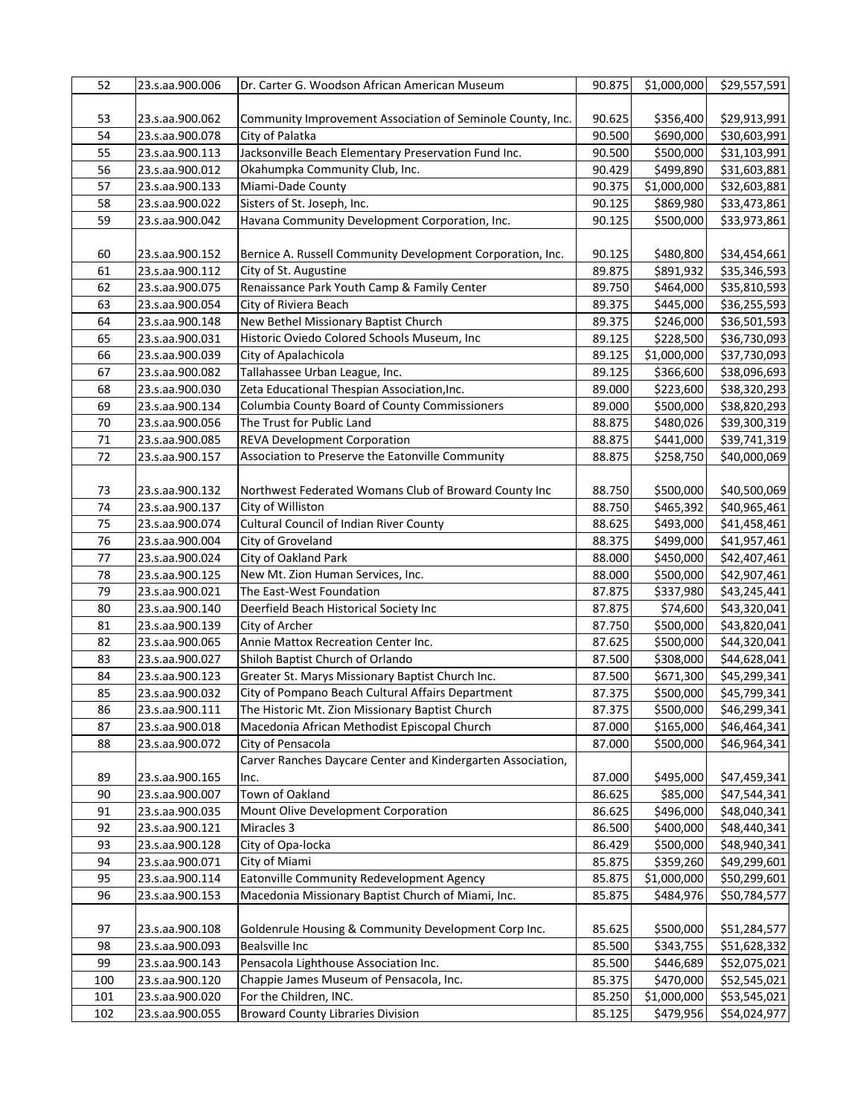| 52  | 23.s.aa.900.006 | Dr. Carter G. Woodson African American Museum               | 90.875 | \$1,000,000 | \$29,557,591 |
|-----|-----------------|-------------------------------------------------------------|--------|-------------|--------------|
|     |                 |                                                             |        |             |              |
| 53  | 23.s.aa.900.062 | Community Improvement Association of Seminole County, Inc.  | 90.625 | \$356,400   | \$29,913,991 |
| 54  | 23.s.aa.900.078 | City of Palatka                                             | 90.500 | \$690,000   | \$30,603,991 |
| 55  | 23.s.aa.900.113 | Jacksonville Beach Elementary Preservation Fund Inc.        | 90.500 | \$500,000   | \$31,103,991 |
| 56  | 23.s.aa.900.012 | Okahumpka Community Club, Inc.                              | 90.429 | \$499,890   | \$31,603,881 |
| 57  | 23.s.aa.900.133 | Miami-Dade County                                           | 90.375 | \$1,000,000 | \$32,603,881 |
| 58  | 23.s.aa.900.022 | Sisters of St. Joseph, Inc.                                 | 90.125 | \$869,980   | \$33,473,861 |
| 59  | 23.s.aa.900.042 | Havana Community Development Corporation, Inc.              |        |             |              |
|     |                 |                                                             | 90.125 | \$500,000   | \$33,973,861 |
|     |                 |                                                             |        |             |              |
| 60  | 23.s.aa.900.152 | Bernice A. Russell Community Development Corporation, Inc.  | 90.125 | \$480,800   | \$34,454,661 |
| 61  | 23.s.aa.900.112 | City of St. Augustine                                       | 89.875 | \$891,932   | \$35,346,593 |
| 62  | 23.s.aa.900.075 | Renaissance Park Youth Camp & Family Center                 | 89.750 | \$464,000   | \$35,810,593 |
| 63  | 23.s.aa.900.054 | City of Riviera Beach                                       | 89.375 | \$445,000   | \$36,255,593 |
| 64  | 23.s.aa.900.148 | New Bethel Missionary Baptist Church                        | 89.375 | \$246,000   | \$36,501,593 |
| 65  | 23.s.aa.900.031 | Historic Oviedo Colored Schools Museum, Inc                 | 89.125 | \$228,500   | \$36,730,093 |
| 66  | 23.s.aa.900.039 | City of Apalachicola                                        | 89.125 | \$1,000,000 | \$37,730,093 |
| 67  | 23.s.aa.900.082 | Tallahassee Urban League, Inc.                              | 89.125 | \$366,600   | \$38,096,693 |
| 68  | 23.s.aa.900.030 | Zeta Educational Thespian Association, Inc.                 | 89.000 | \$223,600   | \$38,320,293 |
| 69  | 23.s.aa.900.134 | Columbia County Board of County Commissioners               | 89.000 | \$500,000   | \$38,820,293 |
| 70  | 23.s.aa.900.056 | The Trust for Public Land                                   | 88.875 | \$480,026   | \$39,300,319 |
| 71  | 23.s.aa.900.085 | <b>REVA Development Corporation</b>                         | 88.875 | \$441,000   | \$39,741,319 |
| 72  | 23.s.aa.900.157 | Association to Preserve the Eatonville Community            | 88.875 | \$258,750   | \$40,000,069 |
|     |                 |                                                             |        |             |              |
| 73  | 23.s.aa.900.132 | Northwest Federated Womans Club of Broward County Inc       | 88.750 | \$500,000   | \$40,500,069 |
| 74  | 23.s.aa.900.137 | City of Williston                                           | 88.750 | \$465,392   | \$40,965,461 |
| 75  | 23.s.aa.900.074 | Cultural Council of Indian River County                     | 88.625 | \$493,000   | \$41,458,461 |
| 76  | 23.s.aa.900.004 | City of Groveland                                           | 88.375 | \$499,000   | \$41,957,461 |
| 77  | 23.s.aa.900.024 | City of Oakland Park                                        | 88.000 | \$450,000   | \$42,407,461 |
| 78  | 23.s.aa.900.125 | New Mt. Zion Human Services, Inc.                           | 88.000 | \$500,000   | \$42,907,461 |
| 79  | 23.s.aa.900.021 | The East-West Foundation                                    | 87.875 | \$337,980   | \$43,245,441 |
| 80  |                 | Deerfield Beach Historical Society Inc                      | 87.875 | \$74,600    |              |
|     | 23.s.aa.900.140 |                                                             |        |             | \$43,320,041 |
| 81  | 23.s.aa.900.139 | City of Archer                                              | 87.750 | \$500,000   | \$43,820,041 |
| 82  | 23.s.aa.900.065 | Annie Mattox Recreation Center Inc.                         | 87.625 | \$500,000   | \$44,320,041 |
| 83  | 23.s.aa.900.027 | Shiloh Baptist Church of Orlando                            | 87.500 | \$308,000   | \$44,628,041 |
| 84  | 23.s.aa.900.123 | Greater St. Marys Missionary Baptist Church Inc.            | 87.500 | \$671,300   | \$45,299,341 |
| 85  | 23.s.aa.900.032 | City of Pompano Beach Cultural Affairs Department           | 87.375 | \$500,000   | \$45,799,341 |
| 86  | 23.s.aa.900.111 | The Historic Mt. Zion Missionary Baptist Church             | 87.375 | \$500,000   | \$46,299,341 |
| 87  | 23.s.aa.900.018 | Macedonia African Methodist Episcopal Church                | 87.000 | \$165,000   | \$46,464,341 |
| 88  | 23.s.aa.900.072 | City of Pensacola                                           | 87.000 | \$500,000   | \$46,964,341 |
|     |                 | Carver Ranches Daycare Center and Kindergarten Association, |        |             |              |
| 89  | 23.s.aa.900.165 | Inc.                                                        | 87.000 | \$495,000   | \$47,459,341 |
| 90  | 23.s.aa.900.007 | Town of Oakland                                             | 86.625 | \$85,000    | \$47,544,341 |
| 91  | 23.s.aa.900.035 | Mount Olive Development Corporation                         | 86.625 | \$496,000   | \$48,040,341 |
| 92  | 23.s.aa.900.121 | Miracles 3                                                  | 86.500 | \$400,000   | \$48,440,341 |
| 93  | 23.s.aa.900.128 | City of Opa-locka                                           | 86.429 | \$500,000   | \$48,940,341 |
| 94  | 23.s.aa.900.071 | City of Miami                                               | 85.875 | \$359,260   | \$49,299,601 |
| 95  | 23.s.aa.900.114 | Eatonville Community Redevelopment Agency                   | 85.875 | \$1,000,000 | \$50,299,601 |
| 96  | 23.s.aa.900.153 | Macedonia Missionary Baptist Church of Miami, Inc.          | 85.875 | \$484,976   | \$50,784,577 |
|     |                 |                                                             |        |             |              |
| 97  | 23.s.aa.900.108 | Goldenrule Housing & Community Development Corp Inc.        | 85.625 | \$500,000   | \$51,284,577 |
| 98  | 23.s.aa.900.093 | <b>Bealsville Inc</b>                                       | 85.500 | \$343,755   | \$51,628,332 |
| 99  | 23.s.aa.900.143 | Pensacola Lighthouse Association Inc.                       | 85.500 | \$446,689   | \$52,075,021 |
| 100 | 23.s.aa.900.120 | Chappie James Museum of Pensacola, Inc.                     | 85.375 | \$470,000   | \$52,545,021 |
| 101 | 23.s.aa.900.020 | For the Children, INC.                                      | 85.250 | \$1,000,000 | \$53,545,021 |
| 102 | 23.s.aa.900.055 | <b>Broward County Libraries Division</b>                    | 85.125 | \$479,956   | \$54,024,977 |
|     |                 |                                                             |        |             |              |